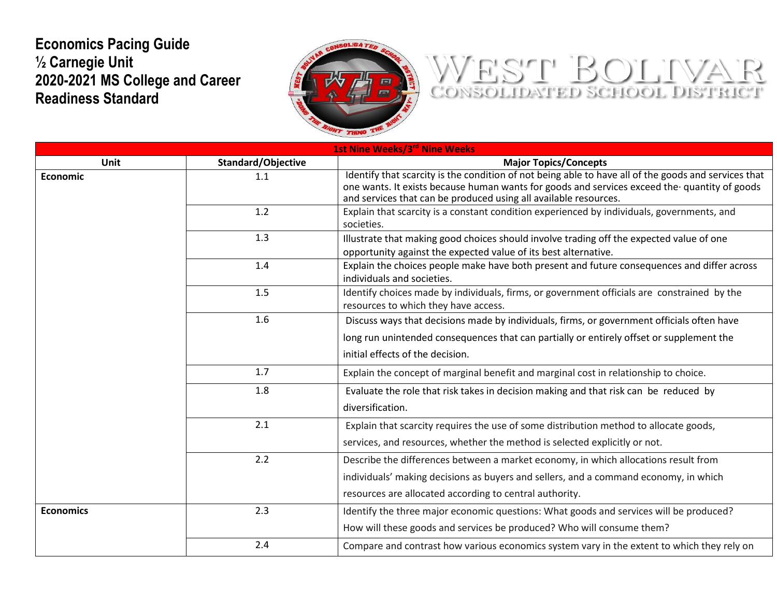## **Economics Pacing Guide ½ Carnegie Unit 2020-2021 MS College and Career Readiness Standard**



## WEST BOLIVAR

| 1st Nine Weeks/3rd Nine Weeks |                           |                                                                                                                                                                  |
|-------------------------------|---------------------------|------------------------------------------------------------------------------------------------------------------------------------------------------------------|
| Unit                          | <b>Standard/Objective</b> | <b>Major Topics/Concepts</b>                                                                                                                                     |
| <b>Economic</b>               | 1.1                       | Identify that scarcity is the condition of not being able to have all of the goods and services that                                                             |
|                               |                           | one wants. It exists because human wants for goods and services exceed the quantity of goods<br>and services that can be produced using all available resources. |
|                               | 1.2                       | Explain that scarcity is a constant condition experienced by individuals, governments, and                                                                       |
|                               |                           | societies.                                                                                                                                                       |
|                               | 1.3                       | Illustrate that making good choices should involve trading off the expected value of one                                                                         |
|                               |                           | opportunity against the expected value of its best alternative.                                                                                                  |
|                               | 1.4                       | Explain the choices people make have both present and future consequences and differ across<br>individuals and societies.                                        |
|                               | 1.5                       | Identify choices made by individuals, firms, or government officials are constrained by the<br>resources to which they have access.                              |
|                               | 1.6                       | Discuss ways that decisions made by individuals, firms, or government officials often have                                                                       |
|                               |                           | long run unintended consequences that can partially or entirely offset or supplement the                                                                         |
|                               |                           | initial effects of the decision.                                                                                                                                 |
|                               | 1.7                       | Explain the concept of marginal benefit and marginal cost in relationship to choice.                                                                             |
|                               | 1.8                       | Evaluate the role that risk takes in decision making and that risk can be reduced by                                                                             |
|                               |                           | diversification.                                                                                                                                                 |
|                               | 2.1                       | Explain that scarcity requires the use of some distribution method to allocate goods,                                                                            |
|                               |                           | services, and resources, whether the method is selected explicitly or not.                                                                                       |
|                               | 2.2                       | Describe the differences between a market economy, in which allocations result from                                                                              |
|                               |                           | individuals' making decisions as buyers and sellers, and a command economy, in which                                                                             |
|                               |                           | resources are allocated according to central authority.                                                                                                          |
| <b>Economics</b>              | 2.3                       | Identify the three major economic questions: What goods and services will be produced?                                                                           |
|                               |                           | How will these goods and services be produced? Who will consume them?                                                                                            |
|                               | 2.4                       | Compare and contrast how various economics system vary in the extent to which they rely on                                                                       |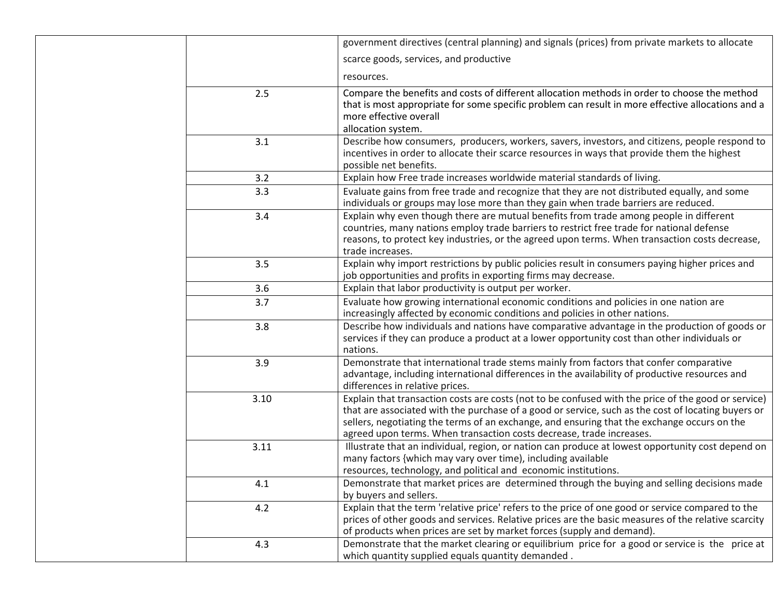|      | government directives (central planning) and signals (prices) from private markets to allocate                                                                                                                                                                                                                                                                                   |
|------|----------------------------------------------------------------------------------------------------------------------------------------------------------------------------------------------------------------------------------------------------------------------------------------------------------------------------------------------------------------------------------|
|      | scarce goods, services, and productive                                                                                                                                                                                                                                                                                                                                           |
|      | resources.                                                                                                                                                                                                                                                                                                                                                                       |
| 2.5  | Compare the benefits and costs of different allocation methods in order to choose the method<br>that is most appropriate for some specific problem can result in more effective allocations and a<br>more effective overall<br>allocation system.                                                                                                                                |
| 3.1  | Describe how consumers, producers, workers, savers, investors, and citizens, people respond to<br>incentives in order to allocate their scarce resources in ways that provide them the highest<br>possible net benefits.                                                                                                                                                         |
| 3.2  | Explain how Free trade increases worldwide material standards of living.                                                                                                                                                                                                                                                                                                         |
| 3.3  | Evaluate gains from free trade and recognize that they are not distributed equally, and some<br>individuals or groups may lose more than they gain when trade barriers are reduced.                                                                                                                                                                                              |
| 3.4  | Explain why even though there are mutual benefits from trade among people in different<br>countries, many nations employ trade barriers to restrict free trade for national defense<br>reasons, to protect key industries, or the agreed upon terms. When transaction costs decrease,<br>trade increases.                                                                        |
| 3.5  | Explain why import restrictions by public policies result in consumers paying higher prices and<br>job opportunities and profits in exporting firms may decrease.                                                                                                                                                                                                                |
| 3.6  | Explain that labor productivity is output per worker.                                                                                                                                                                                                                                                                                                                            |
| 3.7  | Evaluate how growing international economic conditions and policies in one nation are<br>increasingly affected by economic conditions and policies in other nations.                                                                                                                                                                                                             |
| 3.8  | Describe how individuals and nations have comparative advantage in the production of goods or<br>services if they can produce a product at a lower opportunity cost than other individuals or<br>nations.                                                                                                                                                                        |
| 3.9  | Demonstrate that international trade stems mainly from factors that confer comparative<br>advantage, including international differences in the availability of productive resources and<br>differences in relative prices.                                                                                                                                                      |
| 3.10 | Explain that transaction costs are costs (not to be confused with the price of the good or service)<br>that are associated with the purchase of a good or service, such as the cost of locating buyers or<br>sellers, negotiating the terms of an exchange, and ensuring that the exchange occurs on the<br>agreed upon terms. When transaction costs decrease, trade increases. |
| 3.11 | Illustrate that an individual, region, or nation can produce at lowest opportunity cost depend on<br>many factors {which may vary over time), including available<br>resources, technology, and political and economic institutions.                                                                                                                                             |
| 4.1  | Demonstrate that market prices are determined through the buying and selling decisions made<br>by buyers and sellers.                                                                                                                                                                                                                                                            |
| 4.2  | Explain that the term 'relative price' refers to the price of one good or service compared to the<br>prices of other goods and services. Relative prices are the basic measures of the relative scarcity<br>of products when prices are set by market forces (supply and demand).                                                                                                |
| 4.3  | Demonstrate that the market clearing or equilibrium price for a good or service is the price at<br>which quantity supplied equals quantity demanded.                                                                                                                                                                                                                             |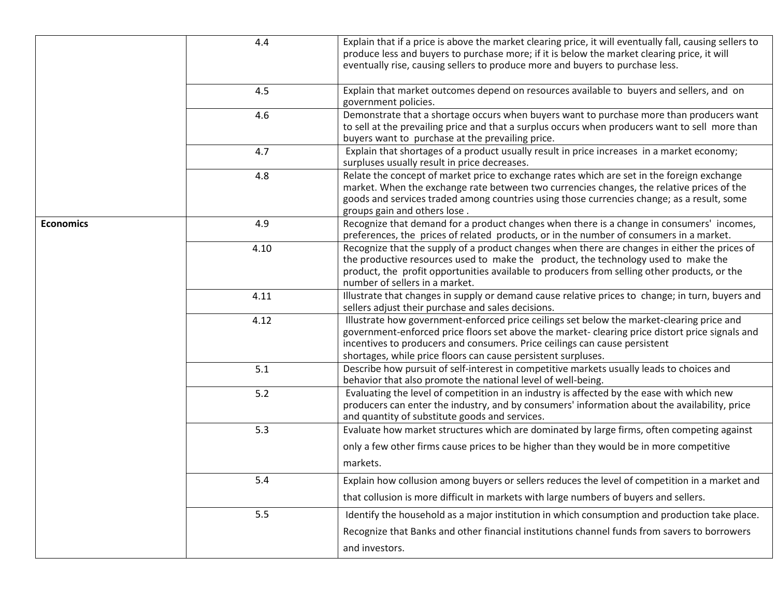|                  | 4.4  | Explain that if a price is above the market clearing price, it will eventually fall, causing sellers to<br>produce less and buyers to purchase more; if it is below the market clearing price, it will<br>eventually rise, causing sellers to produce more and buyers to purchase less.                                                     |
|------------------|------|---------------------------------------------------------------------------------------------------------------------------------------------------------------------------------------------------------------------------------------------------------------------------------------------------------------------------------------------|
|                  | 4.5  | Explain that market outcomes depend on resources available to buyers and sellers, and on<br>government policies.                                                                                                                                                                                                                            |
|                  | 4.6  | Demonstrate that a shortage occurs when buyers want to purchase more than producers want<br>to sell at the prevailing price and that a surplus occurs when producers want to sell more than<br>buyers want to purchase at the prevailing price.                                                                                             |
|                  | 4.7  | Explain that shortages of a product usually result in price increases in a market economy;<br>surpluses usually result in price decreases.                                                                                                                                                                                                  |
|                  | 4.8  | Relate the concept of market price to exchange rates which are set in the foreign exchange<br>market. When the exchange rate between two currencies changes, the relative prices of the<br>goods and services traded among countries using those currencies change; as a result, some<br>groups gain and others lose.                       |
| <b>Economics</b> | 4.9  | Recognize that demand for a product changes when there is a change in consumers' incomes,<br>preferences, the prices of related products, or in the number of consumers in a market.                                                                                                                                                        |
|                  | 4.10 | Recognize that the supply of a product changes when there are changes in either the prices of<br>the productive resources used to make the product, the technology used to make the<br>product, the profit opportunities available to producers from selling other products, or the<br>number of sellers in a market.                       |
|                  | 4.11 | Illustrate that changes in supply or demand cause relative prices to change; in turn, buyers and<br>sellers adjust their purchase and sales decisions.                                                                                                                                                                                      |
|                  | 4.12 | Illustrate how government-enforced price ceilings set below the market-clearing price and<br>government-enforced price floors set above the market- clearing price distort price signals and<br>incentives to producers and consumers. Price ceilings can cause persistent<br>shortages, while price floors can cause persistent surpluses. |
|                  | 5.1  | Describe how pursuit of self-interest in competitive markets usually leads to choices and<br>behavior that also promote the national level of well-being.                                                                                                                                                                                   |
|                  | 5.2  | Evaluating the level of competition in an industry is affected by the ease with which new<br>producers can enter the industry, and by consumers' information about the availability, price<br>and quantity of substitute goods and services.                                                                                                |
|                  | 5.3  | Evaluate how market structures which are dominated by large firms, often competing against                                                                                                                                                                                                                                                  |
|                  |      | only a few other firms cause prices to be higher than they would be in more competitive<br>markets.                                                                                                                                                                                                                                         |
|                  | 5.4  | Explain how collusion among buyers or sellers reduces the level of competition in a market and                                                                                                                                                                                                                                              |
|                  |      | that collusion is more difficult in markets with large numbers of buyers and sellers.                                                                                                                                                                                                                                                       |
|                  | 5.5  | Identify the household as a major institution in which consumption and production take place.                                                                                                                                                                                                                                               |
|                  |      | Recognize that Banks and other financial institutions channel funds from savers to borrowers<br>and investors.                                                                                                                                                                                                                              |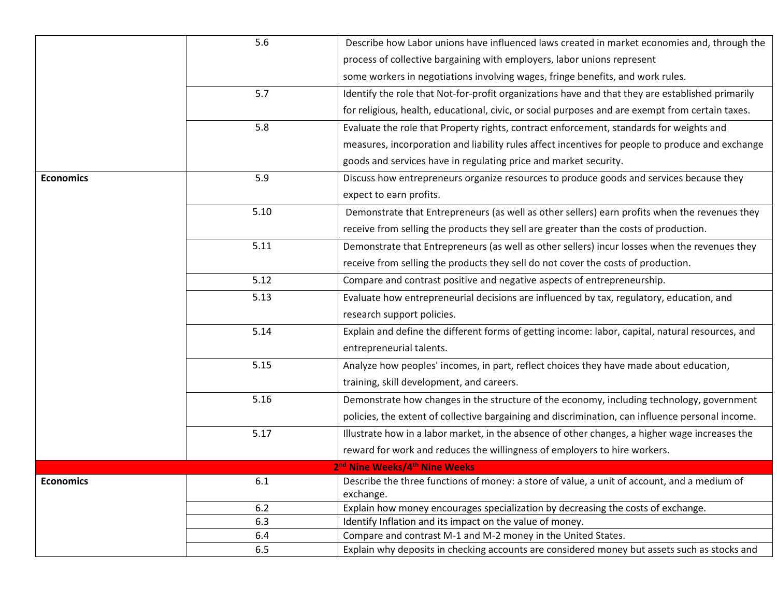|                  | 5.6  | Describe how Labor unions have influenced laws created in market economies and, through the      |
|------------------|------|--------------------------------------------------------------------------------------------------|
|                  |      | process of collective bargaining with employers, labor unions represent                          |
|                  |      | some workers in negotiations involving wages, fringe benefits, and work rules.                   |
|                  | 5.7  | Identify the role that Not-for-profit organizations have and that they are established primarily |
|                  |      | for religious, health, educational, civic, or social purposes and are exempt from certain taxes. |
|                  | 5.8  | Evaluate the role that Property rights, contract enforcement, standards for weights and          |
|                  |      | measures, incorporation and liability rules affect incentives for people to produce and exchange |
|                  |      | goods and services have in regulating price and market security.                                 |
| <b>Economics</b> | 5.9  | Discuss how entrepreneurs organize resources to produce goods and services because they          |
|                  |      | expect to earn profits.                                                                          |
|                  | 5.10 | Demonstrate that Entrepreneurs (as well as other sellers) earn profits when the revenues they    |
|                  |      | receive from selling the products they sell are greater than the costs of production.            |
|                  | 5.11 | Demonstrate that Entrepreneurs (as well as other sellers) incur losses when the revenues they    |
|                  |      | receive from selling the products they sell do not cover the costs of production.                |
|                  | 5.12 | Compare and contrast positive and negative aspects of entrepreneurship.                          |
|                  | 5.13 | Evaluate how entrepreneurial decisions are influenced by tax, regulatory, education, and         |
|                  |      | research support policies.                                                                       |
|                  | 5.14 | Explain and define the different forms of getting income: labor, capital, natural resources, and |
|                  |      | entrepreneurial talents.                                                                         |
|                  | 5.15 | Analyze how peoples' incomes, in part, reflect choices they have made about education,           |
|                  |      | training, skill development, and careers.                                                        |
|                  | 5.16 | Demonstrate how changes in the structure of the economy, including technology, government        |
|                  |      | policies, the extent of collective bargaining and discrimination, can influence personal income. |
|                  | 5.17 | Illustrate how in a labor market, in the absence of other changes, a higher wage increases the   |
|                  |      | reward for work and reduces the willingness of employers to hire workers.                        |
|                  |      | 2 <sup>nd</sup> Nine Weeks/4 <sup>th</sup> Nine Weeks                                            |
| <b>Economics</b> | 6.1  | Describe the three functions of money: a store of value, a unit of account, and a medium of      |
|                  |      | exchange.                                                                                        |
|                  | 6.2  | Explain how money encourages specialization by decreasing the costs of exchange.                 |
|                  | 6.3  | Identify Inflation and its impact on the value of money.                                         |
|                  | 6.4  | Compare and contrast M-1 and M-2 money in the United States.                                     |
|                  | 6.5  | Explain why deposits in checking accounts are considered money but assets such as stocks and     |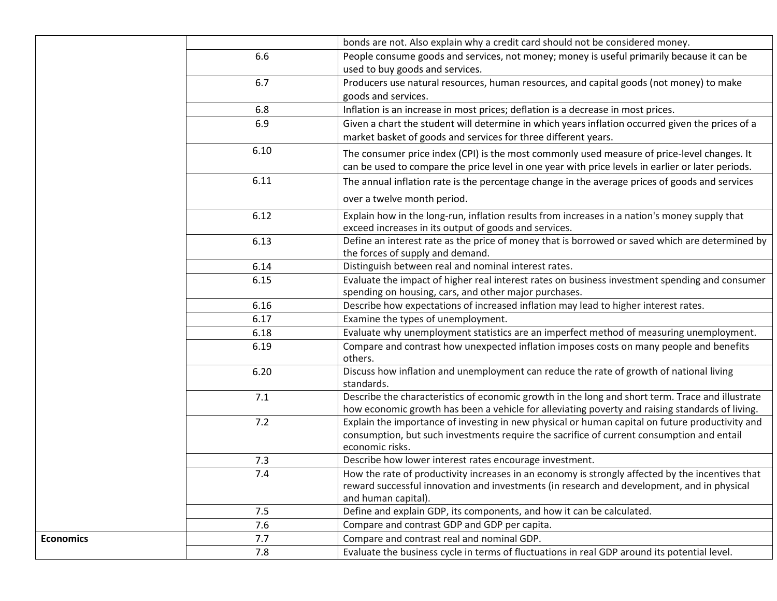|                  |      | bonds are not. Also explain why a credit card should not be considered money.                                                                                                                                         |
|------------------|------|-----------------------------------------------------------------------------------------------------------------------------------------------------------------------------------------------------------------------|
|                  | 6.6  | People consume goods and services, not money; money is useful primarily because it can be<br>used to buy goods and services.                                                                                          |
|                  | 6.7  | Producers use natural resources, human resources, and capital goods (not money) to make<br>goods and services.                                                                                                        |
|                  | 6.8  | Inflation is an increase in most prices; deflation is a decrease in most prices.                                                                                                                                      |
|                  | 6.9  | Given a chart the student will determine in which years inflation occurred given the prices of a<br>market basket of goods and services for three different years.                                                    |
|                  | 6.10 | The consumer price index (CPI) is the most commonly used measure of price-level changes. It<br>can be used to compare the price level in one year with price levels in earlier or later periods.                      |
|                  | 6.11 | The annual inflation rate is the percentage change in the average prices of goods and services<br>over a twelve month period.                                                                                         |
|                  | 6.12 | Explain how in the long-run, inflation results from increases in a nation's money supply that<br>exceed increases in its output of goods and services.                                                                |
|                  | 6.13 | Define an interest rate as the price of money that is borrowed or saved which are determined by<br>the forces of supply and demand.                                                                                   |
|                  | 6.14 | Distinguish between real and nominal interest rates.                                                                                                                                                                  |
|                  | 6.15 | Evaluate the impact of higher real interest rates on business investment spending and consumer<br>spending on housing, cars, and other major purchases.                                                               |
|                  | 6.16 | Describe how expectations of increased inflation may lead to higher interest rates.                                                                                                                                   |
|                  | 6.17 | Examine the types of unemployment.                                                                                                                                                                                    |
|                  | 6.18 | Evaluate why unemployment statistics are an imperfect method of measuring unemployment.                                                                                                                               |
|                  | 6.19 | Compare and contrast how unexpected inflation imposes costs on many people and benefits<br>others.                                                                                                                    |
|                  | 6.20 | Discuss how inflation and unemployment can reduce the rate of growth of national living<br>standards.                                                                                                                 |
|                  | 7.1  | Describe the characteristics of economic growth in the long and short term. Trace and illustrate<br>how economic growth has been a vehicle for alleviating poverty and raising standards of living.                   |
|                  | 7.2  | Explain the importance of investing in new physical or human capital on future productivity and<br>consumption, but such investments require the sacrifice of current consumption and entail<br>economic risks.       |
|                  | 7.3  | Describe how lower interest rates encourage investment.                                                                                                                                                               |
|                  | 7.4  | How the rate of productivity increases in an economy is strongly affected by the incentives that<br>reward successful innovation and investments (in research and development, and in physical<br>and human capital). |
|                  | 7.5  | Define and explain GDP, its components, and how it can be calculated.                                                                                                                                                 |
|                  | 7.6  | Compare and contrast GDP and GDP per capita.                                                                                                                                                                          |
| <b>Economics</b> | 7.7  | Compare and contrast real and nominal GDP.                                                                                                                                                                            |
|                  | 7.8  | Evaluate the business cycle in terms of fluctuations in real GDP around its potential level.                                                                                                                          |